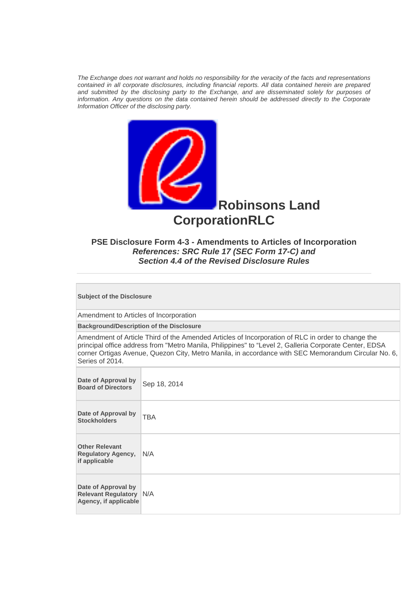*The Exchange does not warrant and holds no responsibility for the veracity of the facts and representations contained in all corporate disclosures, including financial reports. All data contained herein are prepared and submitted by the disclosing party to the Exchange, and are disseminated solely for purposes of information. Any questions on the data contained herein should be addressed directly to the Corporate Information Officer of the disclosing party.* 



# **PSE Disclosure Form 4-3 - Amendments to Articles of Incorporation**  *References: SRC Rule 17 (SEC Form 17-C) and Section 4.4 of the Revised Disclosure Rules*

**Subject of the Disclosure** 

Amendment to Articles of Incorporation

**Background/Description of the Disclosure**

Amendment of Article Third of the Amended Articles of Incorporation of RLC in order to change the principal office address from "Metro Manila, Philippines" to "Level 2, Galleria Corporate Center, EDSA corner Ortigas Avenue, Quezon City, Metro Manila, in accordance with SEC Memorandum Circular No. 6, Series of 2014.

| Date of Approval by<br><b>Board of Directors</b>                               | Sep 18, 2014 |
|--------------------------------------------------------------------------------|--------------|
| Date of Approval by<br><b>Stockholders</b>                                     | <b>TBA</b>   |
| <b>Other Relevant</b><br><b>Regulatory Agency,</b><br>if applicable            | N/A          |
| Date of Approval by<br><b>Relevant Regulatory N/A</b><br>Agency, if applicable |              |